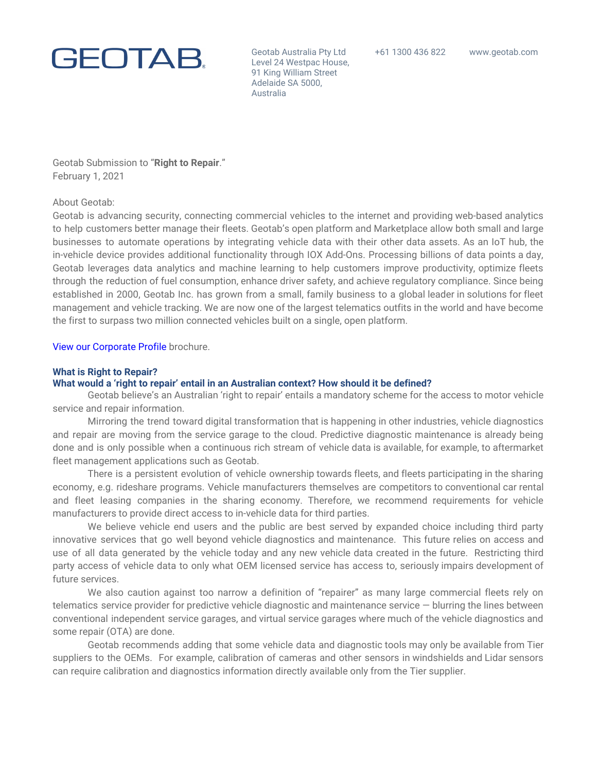

Geotab Australia Pty Ltd Level 24 Westpac House, 91 King William Street Adelaide SA 5000, Australia

Geotab Submission to "**Right to Repair**." February 1, 2021

### About Geotab:

Geotab is advancing security, connecting commercial vehicles to the internet and providing web-based analytics to help customers better manage their fleets. Geotab's open platform and Marketplace allow both small and large businesses to automate operations by integrating vehicle data with their other data assets. As an IoT hub, the in-vehicle device provides additional functionality through IOX Add-Ons. Processing billions of data points a day, Geotab leverages data analytics and machine learning to help customers improve productivity, optimize fleets through the reduction of fuel consumption, enhance driver safety, and achieve regulatory compliance. Since being established in 2000, Geotab Inc. has grown from a small, family business to a global leader in solutions for fleet management and vehicle tracking. We are now one of the largest telematics outfits in the world and have become the first to surpass two million connected vehicles built on a single, open platform.

View our [Corporate](https://storage.googleapis.com/geotab_wfm_production_cms_storage/CMS-GeneralFiles-production/NA/About/geotab-corporate-profile-2020-web.pdf%20[PUBLIC]%20(1).pdf) Profile brochure.

### **What is Right to Repair?**

### **What would a 'right to repair' entail in an Australian context? How should it be defined?**

Geotab believe's an Australian 'right to repair' entails a mandatory scheme for the access to motor vehicle service and repair information.

Mirroring the trend toward digital transformation that is happening in other industries, vehicle diagnostics and repair are moving from the service garage to the cloud. Predictive diagnostic maintenance is already being done and is only possible when a continuous rich stream of vehicle data is available, for example, to aftermarket fleet management applications such as Geotab.

There is a persistent evolution of vehicle ownership towards fleets, and fleets participating in the sharing economy, e.g. rideshare programs. Vehicle manufacturers themselves are competitors to conventional car rental and fleet leasing companies in the sharing economy. Therefore, we recommend requirements for vehicle manufacturers to provide direct access to in-vehicle data for third parties.

We believe vehicle end users and the public are best served by expanded choice including third party innovative services that go well beyond vehicle diagnostics and maintenance. This future relies on access and use of all data generated by the vehicle today and any new vehicle data created in the future. Restricting third party access of vehicle data to only what OEM licensed service has access to, seriously impairs development of future services.

We also caution against too narrow a definition of "repairer" as many large commercial fleets rely on telematics service provider for predictive vehicle diagnostic and maintenance service — blurring the lines between conventional independent service garages, and virtual service garages where much of the vehicle diagnostics and some repair (OTA) are done.

Geotab recommends adding that some vehicle data and diagnostic tools may only be available from Tier suppliers to the OEMs. For example, calibration of cameras and other sensors in windshields and Lidar sensors can require calibration and diagnostics information directly available only from the Tier supplier.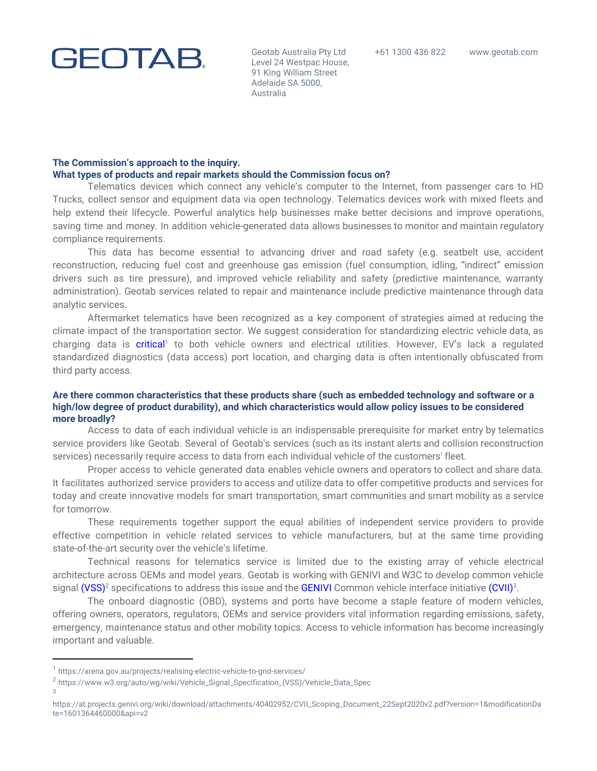

Geotab Australia Pty Ltd Level 24 Westpac House, 91 King William Street Adelaide SA 5000, Australia

### **The Commission's approach to the inquiry. What types of products and repair markets should the Commission focus on?**

Telematics devices which connect any vehicle's computer to the Internet, from passenger cars to HD Trucks, collect sensor and equipment data via open technology. Telematics devices work with mixed fleets and help extend their lifecycle. Powerful analytics help businesses make better decisions and improve operations, saving time and money. In addition vehicle-generated data allows businesses to monitor and maintain regulatory compliance requirements.

This data has become essential to advancing driver and road safety (e.g. seatbelt use, accident reconstruction, reducing fuel cost and greenhouse gas emission (fuel consumption, idling, "indirect" emission drivers such as tire pressure), and improved vehicle reliability and safety (predictive maintenance, warranty administration). Geotab services related to repair and maintenance include predictive maintenance through data analytic services.

Aftermarket telematics have been recognized as a key component of strategies aimed at reducing the climate impact of the transportation sector. We suggest consideration for standardizing electric vehicle data, as charging data is [critical](https://arena.gov.au/projects/realising-electric-vehicle-to-grid-services/)<sup>1</sup> to both vehicle owners and electrical utilities. However, EV's lack a regulated standardized diagnostics (data access) port location, and charging data is often intentionally obfuscated from third party access.

## **Are there common characteristics that these products share (such as embedded technology and software or a high/low degree of product durability), and which characteristics would allow policy issues to be considered more broadly?**

Access to data of each individual vehicle is an indispensable prerequisite for market entry by telematics service providers like Geotab. Several of Geotab's services (such as its instant alerts and collision reconstruction services) necessarily require access to data from each individual vehicle of the customers' fleet.

Proper access to vehicle generated data enables vehicle owners and operators to collect and share data. It facilitates authorized service providers to access and utilize data to offer competitive products and services for today and create innovative models for smart transportation, smart communities and smart mobility as a service for tomorrow.

These requirements together support the equal abilities of independent service providers to provide effective competition in vehicle related services to vehicle manufacturers, but at the same time providing state-of-the-art security over the vehicle's lifetime.

Technical reasons for telematics service is limited due to the existing array of vehicle electrical architecture across OEMs and model years. Geotab is working with GENIVI and W3C to develop common vehicle signal [\(VSS\)](https://www.w3.org/auto/wg/wiki/Vehicle_Signal_Specification_(VSS)/Vehicle_Data_Spec) $^2$  specifications to address this issue and the [GENIVI](https://at.projects.genivi.org/wiki/download/attachments/40402952/CVII_Scoping_Document_22Sept2020v2.pdf?version=1&modificationDate=1601364460000&api=v2) Common vehicle interface initiative ([CVI](https://at.projects.genivi.org/wiki/download/attachments/40402952/CVII_Scoping_Document_22Sept2020v2.pdf?version=1&modificationDate=1601364460000&api=v2)I) $^3$ .

The onboard diagnostic (OBD), systems and ports have become a staple feature of modern vehicles, offering owners, operators, regulators, OEMs and service providers vital information regarding emissions, safety, emergency, maintenance status and other mobility topics. Access to vehicle information has become increasingly important and valuable.

3

<sup>1</sup> https://arena.gov.au/projects/realising-electric-vehicle-to-grid-services/

<sup>2</sup> https://www.w3.org/auto/wg/wiki/Vehicle\_Signal\_Specification\_(VSS)/Vehicle\_Data\_Spec

[https://at.projects.genivi.org/wiki/download/attachments/40402952/CVII\\_Scoping\\_Document\\_22Sept2020v2.pdf?version=1&modificationDa](https://at.projects.genivi.org/wiki/download/attachments/40402952/CVII_Scoping_Document_22Sept2020v2.pdf?version=1&modificationDate=1601364460000&api=v2) [te=1601364460000&api=v2](https://at.projects.genivi.org/wiki/download/attachments/40402952/CVII_Scoping_Document_22Sept2020v2.pdf?version=1&modificationDate=1601364460000&api=v2)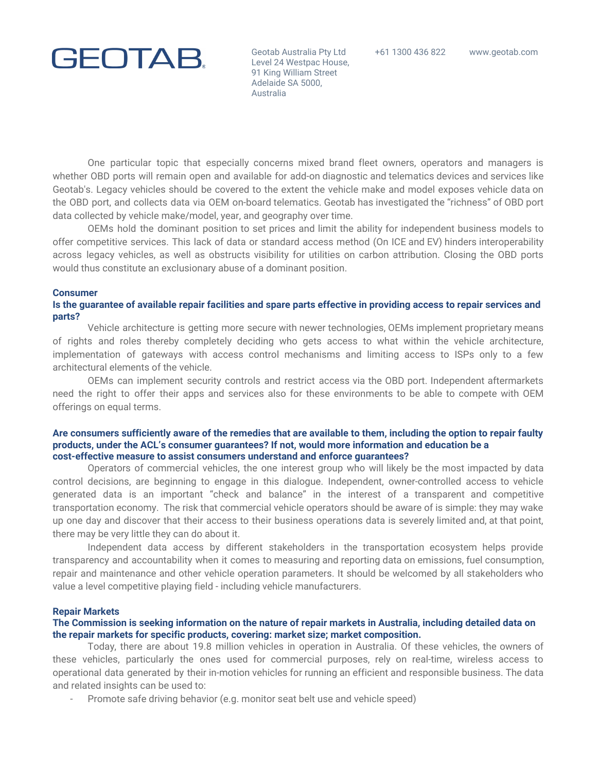Geotab Australia Pty Ltd Level 24 Westpac House, 91 King William Street Adelaide SA 5000, Australia

One particular topic that especially concerns mixed brand fleet owners, operators and managers is whether OBD ports will remain open and available for add-on diagnostic and telematics devices and services like Geotab's. Legacy vehicles should be covered to the extent the vehicle make and model exposes vehicle data on the OBD port, and collects data via OEM on-board telematics. Geotab has investigated the "richness" of OBD port data collected by vehicle make/model, year, and geography over time.

OEMs hold the dominant position to set prices and limit the ability for independent business models to offer competitive services. This lack of data or standard access method (On ICE and EV) hinders interoperability across legacy vehicles, as well as obstructs visibility for utilities on carbon attribution. Closing the OBD ports would thus constitute an exclusionary abuse of a dominant position.

#### **Consumer**

## Is the guarantee of available repair facilities and spare parts effective in providing access to repair services and **parts?**

Vehicle architecture is getting more secure with newer technologies, OEMs implement proprietary means of rights and roles thereby completely deciding who gets access to what within the vehicle architecture, implementation of gateways with access control mechanisms and limiting access to ISPs only to a few architectural elements of the vehicle.

OEMs can implement security controls and restrict access via the OBD port. Independent aftermarkets need the right to offer their apps and services also for these environments to be able to compete with OEM offerings on equal terms.

### Are consumers sufficiently aware of the remedies that are available to them, including the option to repair faulty **products, under the ACL's consumer guarantees? If not, would more information and education be a cost-effective measure to assist consumers understand and enforce guarantees?**

Operators of commercial vehicles, the one interest group who will likely be the most impacted by data control decisions, are beginning to engage in this dialogue. Independent, owner-controlled access to vehicle generated data is an important "check and balance" in the interest of a transparent and competitive transportation economy. The risk that commercial vehicle operators should be aware of is simple: they may wake up one day and discover that their access to their business operations data is severely limited and, at that point, there may be very little they can do about it.

Independent data access by different stakeholders in the transportation ecosystem helps provide transparency and accountability when it comes to measuring and reporting data on emissions, fuel consumption, repair and maintenance and other vehicle operation parameters. It should be welcomed by all stakeholders who value a level competitive playing field - including vehicle manufacturers.

### **Repair Markets**

## The Commission is seeking information on the nature of repair markets in Australia, including detailed data on **the repair markets for specific products, covering: market size; market composition.**

Today, there are about 19.8 million vehicles in operation in Australia. Of these vehicles, the owners of these vehicles, particularly the ones used for commercial purposes, rely on real-time, wireless access to operational data generated by their in-motion vehicles for running an efficient and responsible business. The data and related insights can be used to:

Promote safe driving behavior (e.g. monitor seat belt use and vehicle speed)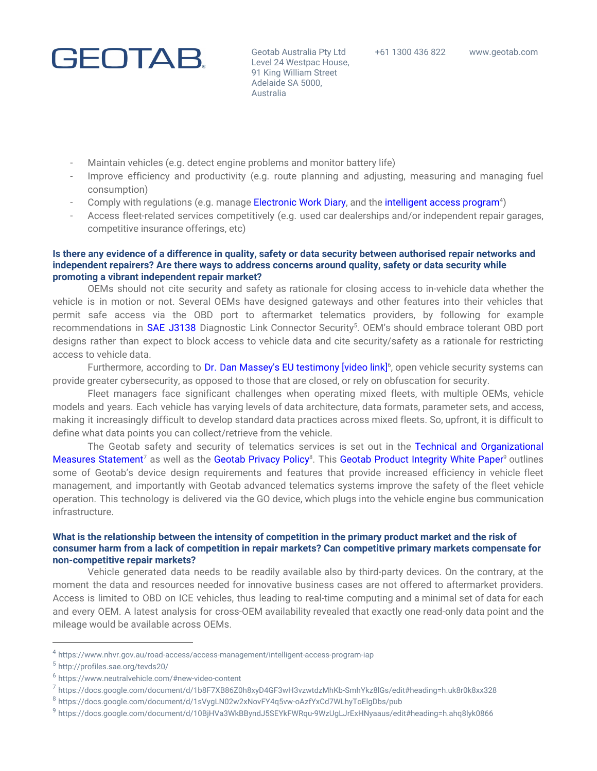

Geotab Australia Pty Ltd Level 24 Westpac House, 91 King William Street Adelaide SA 5000, Australia

- Maintain vehicles (e.g. detect engine problems and monitor battery life)
- Improve efficiency and productivity (e.g. route planning and adjusting, measuring and managing fuel consumption)
- Comply with regulations (e.g. manage [Electronic](https://www.nhvr.gov.au/safety-accreditation-compliance/fatigue-management/electronic-work-diary) Work Diary[,](https://www.nhvr.gov.au/safety-accreditation-compliance/fatigue-management/electronic-work-diary) and the [intelligent](https://www.nhvr.gov.au/road-access/access-management/intelligent-access-program-iap) access program<sup>4</sup>)
- Access fleet-related services competitively (e.g. used car dealerships and/or independent repair garages, competitive insurance offerings, etc)

## Is there any evidence of a difference in quality, safety or data security between authorised repair networks and **independent repairers? Are there ways to address concerns around quality, safety or data security while promoting a vibrant independent repair market?**

OEMs should not cite security and safety as rationale for closing access to in-vehicle data whether the vehicle is in motion or not. Several OEMs have designed gateways and other features into their vehicles that permit safe access via the OBD port to aftermarket telematics providers, by following for example recommendations in SAE [J3138](http://profiles.sae.org/tevds20/) Diagnostic Link Connector Security<sup>5</sup>. OEM's should embrace tolerant OBD port designs rather than expect to block access to vehicle data and cite security/safety as a rationale for restricting access to vehicle data.

Furthermore, according to Dr. Dan Massey's EU [testimony](https://www.neutralvehicle.com/#new-video-content) [video link]<sup>6</sup>, open vehicle security systems can provide greater cybersecurity, as opposed to those that are closed, or rely on obfuscation for security.

Fleet managers face significant challenges when operating mixed fleets, with multiple OEMs, vehicle models and years. Each vehicle has varying levels of data architecture, data formats, parameter sets, and access, making it increasingly difficult to develop standard data practices across mixed fleets. So, upfront, it is difficult to define what data points you can collect/retrieve from the vehicle.

The Geotab safety and security of telematics services is set out in the Technical and [Organizational](https://docs.google.com/document/d/1b8F7XB86Z0h8xyD4GF3wH3vzwtdzMhKb-SmhYkz8lGs/edit#heading=h.uk8r0k8xx328) Measures [Statement](https://docs.google.com/document/d/1b8F7XB86Z0h8xyD4GF3wH3vzwtdzMhKb-SmhYkz8lGs/edit#heading=h.uk8r0k8xx328)<sup>7</sup> as well as the Geotab [Privacy](https://docs.google.com/document/d/1sVygLN02w2xNovFY4q5vw-oAzfYxCd7WLhyToElgDbs/pub) Policy<sup>8</sup>. This Geotab Product [Integrity](https://docs.google.com/document/d/10BjHVa3WkBByndJ5SEYkFWRqu-9WzUgLJrExHNyaaus/edit#heading=h.ahq8lyk0866) White Paper<sup>9</sup> outlines some of Geotab's device design requirements and features that provide increased efficiency in vehicle fleet management, and importantly with Geotab advanced telematics systems improve the safety of the fleet vehicle operation. This technology is delivered via the GO device, which plugs into the vehicle engine bus communication infrastructure.

## What is the relationship between the intensity of competition in the primary product market and the risk of **consumer harm from a lack of competition in repair markets? Can competitive primary markets compensate for non-competitive repair markets?**

Vehicle generated data needs to be readily available also by third-party devices. On the contrary, at the moment the data and resources needed for innovative business cases are not offered to aftermarket providers. Access is limited to OBD on ICE vehicles, thus leading to real-time computing and a minimal set of data for each and every OEM. A latest analysis for cross-OEM availability revealed that exactly one read-only data point and the mileage would be available across OEMs.

<sup>4</sup> https://www.nhvr.gov.au/road-access/access-management/intelligent-access-program-iap

<sup>5</sup> http://profiles.sae.org/tevds20/

<sup>6</sup> https://www.neutralvehicle.com/#new-video-content

<sup>7</sup> https://docs.google.com/document/d/1b8F7XB86Z0h8xyD4GF3wH3vzwtdzMhKb-SmhYkz8lGs/edit#heading=h.uk8r0k8xx328

<sup>8</sup> https://docs.google.com/document/d/1sVygLN02w2xNovFY4q5vw-oAzfYxCd7WLhyToElgDbs/pub

<sup>9</sup> https://docs.google.com/document/d/10BjHVa3WkBByndJ5SEYkFWRqu-9WzUgLJrExHNyaaus/edit#heading=h.ahq8lyk0866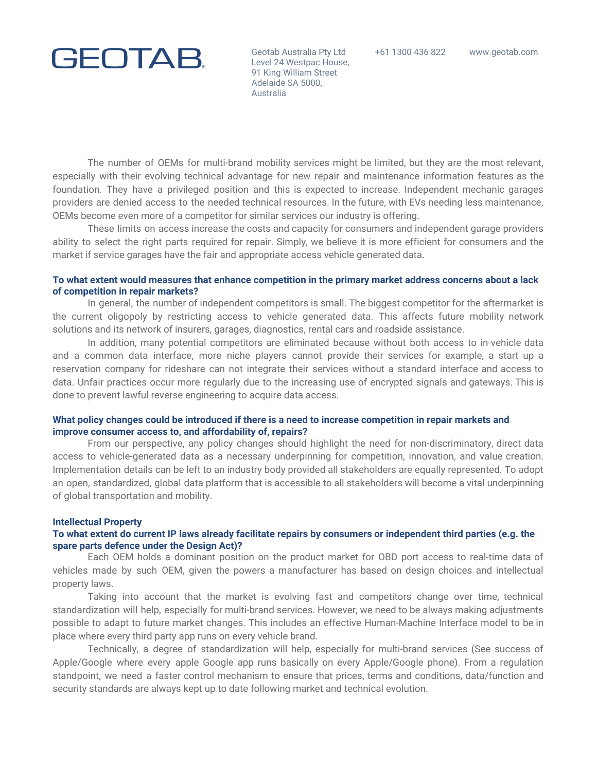#### +61 1300 436 822 www.geotab.com

# **GEOTAB.**

Geotab Australia Pty Ltd Level 24 Westpac House, 91 King William Street Adelaide SA 5000, Australia

The number of OEMs for multi-brand mobility services might be limited, but they are the most relevant, especially with their evolving technical advantage for new repair and maintenance information features as the foundation. They have a privileged position and this is expected to increase. Independent mechanic garages providers are denied access to the needed technical resources. In the future, with EVs needing less maintenance, OEMs become even more of a competitor for similar services our industry is offering.

These limits on access increase the costs and capacity for consumers and independent garage providers ability to select the right parts required for repair. Simply, we believe it is more efficient for consumers and the market if service garages have the fair and appropriate access vehicle generated data.

## To what extent would measures that enhance competition in the primary market address concerns about a lack **of competition in repair markets?**

In general, the number of independent competitors is small. The biggest competitor for the aftermarket is the current oligopoly by restricting access to vehicle generated data. This affects future mobility network solutions and its network of insurers, garages, diagnostics, rental cars and roadside assistance.

In addition, many potential competitors are eliminated because without both access to in-vehicle data and a common data interface, more niche players cannot provide their services for example, a start up a reservation company for rideshare can not integrate their services without a standard interface and access to data. Unfair practices occur more regularly due to the increasing use of encrypted signals and gateways. This is done to prevent lawful reverse engineering to acquire data access.

## What policy changes could be introduced if there is a need to increase competition in repair markets and **improve consumer access to, and affordability of, repairs?**

From our perspective, any policy changes should highlight the need for non-discriminatory, direct data access to vehicle-generated data as a necessary underpinning for competition, innovation, and value creation. Implementation details can be left to an industry body provided all stakeholders are equally represented. To adopt an open, standardized, global data platform that is accessible to all stakeholders will become a vital underpinning of global transportation and mobility.

### **Intellectual Property**

## To what extent do current IP laws already facilitate repairs by consumers or independent third parties (e.g. the **spare parts defence under the Design Act)?**

Each OEM holds a dominant position on the product market for OBD port access to real-time data of vehicles made by such OEM, given the powers a manufacturer has based on design choices and intellectual property laws.

Taking into account that the market is evolving fast and competitors change over time, technical standardization will help, especially for multi-brand services. However, we need to be always making adjustments possible to adapt to future market changes. This includes an effective Human-Machine Interface model to be in place where every third party app runs on every vehicle brand.

Technically, a degree of standardization will help, especially for multi-brand services (See success of Apple/Google where every apple Google app runs basically on every Apple/Google phone). From a regulation standpoint, we need a faster control mechanism to ensure that prices, terms and conditions, data/function and security standards are always kept up to date following market and technical evolution.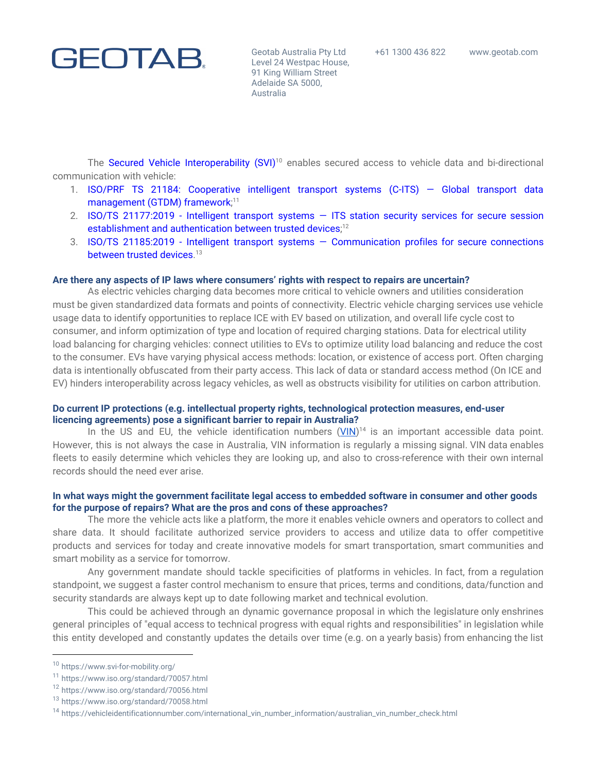Geotab Australia Pty Ltd Level 24 Westpac House, 91 King William Street Adelaide SA 5000, Australia

The Secured Vehicle [Interoperability](https://www.svi-for-mobility.org/) (SVI)<sup>10</sup> enables secured access to vehicle data and bi-directional communication with vehicle:

- 1. ISO/PRF TS 21184: [Cooperative](https://www.iso.org/standard/70057.html) intelligent transport systems (C-ITS) Global transport data [management](https://www.iso.org/standard/70057.html) (GTDM) framework;<sup>11</sup>
- 2. ISO/TS [21177:2019](https://www.iso.org/standard/70056.html) Intelligent transport systems ITS station security services for secure session establishment and [authentication](https://www.iso.org/standard/70056.html) between trusted devices;<sup>12</sup>
- 3. ISO/TS 21185:2019 Intelligent transport systems [Communication](https://www.iso.org/standard/70058.html) profiles for secure connections [between](https://www.iso.org/standard/70058.html) trusted devices. 13

### **Are there any aspects of IP laws where consumers' rights with respect to repairs are uncertain?**

As electric vehicles charging data becomes more critical to vehicle owners and utilities consideration must be given standardized data formats and points of connectivity. Electric vehicle charging services use vehicle usage data to identify opportunities to replace ICE with EV based on utilization, and overall life cycle cost to consumer, and inform optimization of type and location of required charging stations. Data for electrical utility load balancing for charging vehicles: connect utilities to EVs to optimize utility load balancing and reduce the cost to the consumer. EVs have varying physical access methods: location, or existence of access port. Often charging data is intentionally obfuscated from their party access. This lack of data or standard access method (On ICE and EV) hinders interoperability across legacy vehicles, as well as obstructs visibility for utilities on carbon attribution.

## **Do current IP protections (e.g. intellectual property rights, technological protection measures, end-user licencing agreements) pose a significant barrier to repair in Australia?**

In the US and EU, the vehicle identification numbers  $(VIN)^{14}$  $(VIN)^{14}$  $(VIN)^{14}$  is an important accessible data point. However, this is not always the case in Australia, VIN information is regularly a missing signal. VIN data enables fleets to easily determine which vehicles they are looking up, and also to cross-reference with their own internal records should the need ever arise.

### In what ways might the government facilitate legal access to embedded software in consumer and other goods **for the purpose of repairs? What are the pros and cons of these approaches?**

The more the vehicle acts like a platform, the more it enables vehicle owners and operators to collect and share data. It should facilitate authorized service providers to access and utilize data to offer competitive products and services for today and create innovative models for smart transportation, smart communities and smart mobility as a service for tomorrow.

Any government mandate should tackle specificities of platforms in vehicles. In fact, from a regulation standpoint, we suggest a faster control mechanism to ensure that prices, terms and conditions, data/function and security standards are always kept up to date following market and technical evolution.

This could be achieved through an dynamic governance proposal in which the legislature only enshrines general principles of "equal access to technical progress with equal rights and responsibilities" in legislation while this entity developed and constantly updates the details over time (e.g. on a yearly basis) from enhancing the list

<sup>10</sup> https://www.svi-for-mobility.org/

<sup>11</sup> https://www.iso.org/standard/70057.html

<sup>12</sup> https://www.iso.org/standard/70056.html

<sup>13</sup> https://www.iso.org/standard/70058.html

<sup>14</sup> https://vehicleidentificationnumber.com/international\_vin\_number\_information/australian\_vin\_number\_check.html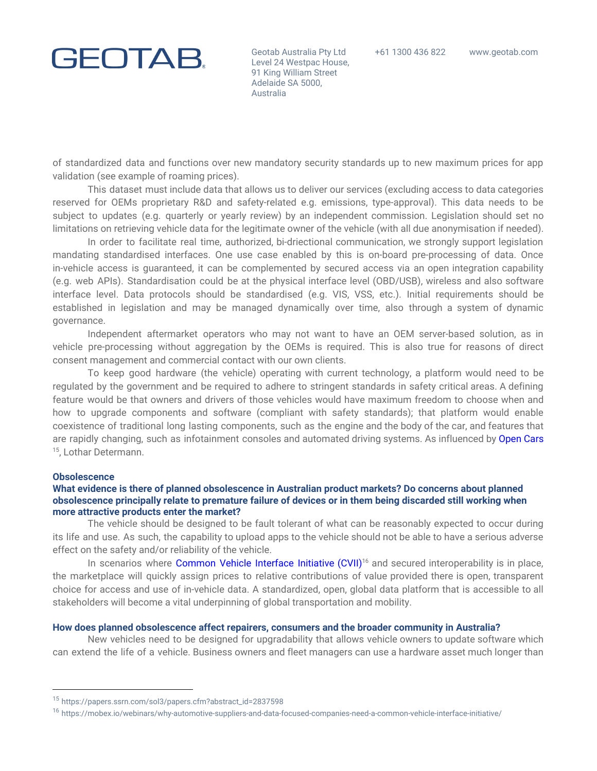Geotab Australia Pty Ltd Level 24 Westpac House, 91 King William Street Adelaide SA 5000, Australia

of standardized data and functions over new mandatory security standards up to new maximum prices for app validation (see example of roaming prices).

This dataset must include data that allows us to deliver our services (excluding access to data categories reserved for OEMs proprietary R&D and safety-related e.g. emissions, type-approval). This data needs to be subject to updates (e.g. quarterly or yearly review) by an independent commission. Legislation should set no limitations on retrieving vehicle data for the legitimate owner of the vehicle (with all due anonymisation if needed).

In order to facilitate real time, authorized, bi-driectional communication, we strongly support legislation mandating standardised interfaces. One use case enabled by this is on-board pre-processing of data. Once in-vehicle access is guaranteed, it can be complemented by secured access via an open integration capability (e.g. web APIs). Standardisation could be at the physical interface level (OBD/USB), wireless and also software interface level. Data protocols should be standardised (e.g. VIS, VSS, etc.). Initial requirements should be established in legislation and may be managed dynamically over time, also through a system of dynamic governance.

Independent aftermarket operators who may not want to have an OEM server-based solution, as in vehicle pre-processing without aggregation by the OEMs is required. This is also true for reasons of direct consent management and commercial contact with our own clients.

To keep good hardware (the vehicle) operating with current technology, a platform would need to be regulated by the government and be required to adhere to stringent standards in safety critical areas. A defining feature would be that owners and drivers of those vehicles would have maximum freedom to choose when and how to upgrade components and software (compliant with safety standards); that platform would enable coexistence of traditional long lasting components, such as the engine and the body of the car, and features that are rapidly changing, such as infotainment consoles and automated driving systems. As influenced by [Open](https://papers.ssrn.com/sol3/papers.cfm?abstract_id=2837598) Cars <sup>15</sup>, Lothar Determann.

### **Obsolescence**

## **What evidence is there of planned obsolescence in Australian product markets? Do concerns about planned obsolescence principally relate to premature failure of devices or in them being discarded still working when more attractive products enter the market?**

The vehicle should be designed to be fault tolerant of what can be reasonably expected to occur during its life and use. As such, the capability to upload apps to the vehicle should not be able to have a serious adverse effect on the safety and/or reliability of the vehicle.

In scenarios where [Common](https://mobex.io/webinars/why-automotive-suppliers-and-data-focused-companies-need-a-common-vehicle-interface-initiative/) Vehicle Interface Initiative (CVII)<sup>16</sup> and secured interoperability is in place, the marketplace will quickly assign prices to relative contributions of value provided there is open, transparent choice for access and use of in-vehicle data. A standardized, open, global data platform that is accessible to all stakeholders will become a vital underpinning of global transportation and mobility.

### **How does planned obsolescence affect repairers, consumers and the broader community in Australia?**

New vehicles need to be designed for upgradability that allows vehicle owners to update software which can extend the life of a vehicle. Business owners and fleet managers can use a hardware asset much longer than

<sup>15</sup> https://papers.ssrn.com/sol3/papers.cfm?abstract\_id=2837598

<sup>16</sup> https://mobex.io/webinars/why-automotive-suppliers-and-data-focused-companies-need-a-common-vehicle-interface-initiative/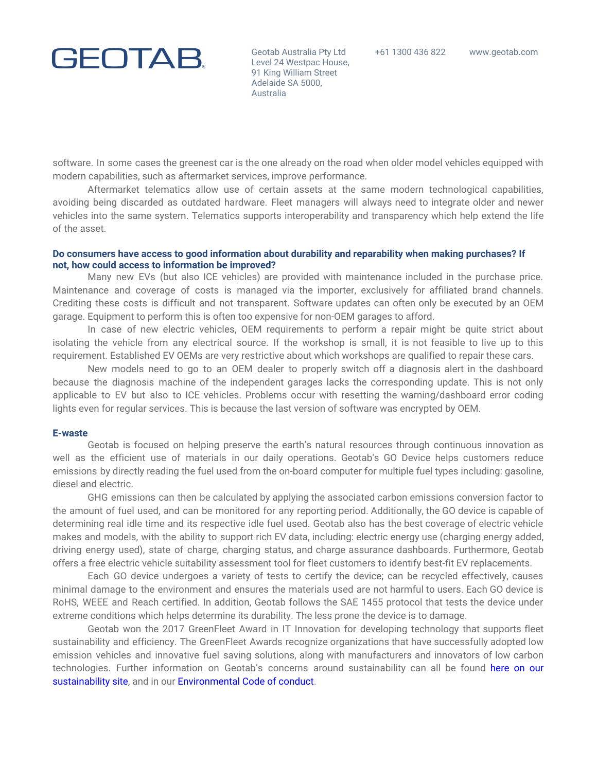Geotab Australia Pty Ltd Level 24 Westpac House, 91 King William Street Adelaide SA 5000, Australia

software. In some cases the greenest car is the one already on the road when older model vehicles equipped with modern capabilities, such as aftermarket services, improve performance.

Aftermarket telematics allow use of certain assets at the same modern technological capabilities, avoiding being discarded as outdated hardware. Fleet managers will always need to integrate older and newer vehicles into the same system. Telematics supports interoperability and transparency which help extend the life of the asset.

## **Do consumers have access to good information about durability and reparability when making purchases? If not, how could access to information be improved?**

Many new EVs (but also ICE vehicles) are provided with maintenance included in the purchase price. Maintenance and coverage of costs is managed via the importer, exclusively for affiliated brand channels. Crediting these costs is difficult and not transparent. Software updates can often only be executed by an OEM garage. Equipment to perform this is often too expensive for non-OEM garages to afford.

In case of new electric vehicles, OEM requirements to perform a repair might be quite strict about isolating the vehicle from any electrical source. If the workshop is small, it is not feasible to live up to this requirement. Established EV OEMs are very restrictive about which workshops are qualified to repair these cars.

New models need to go to an OEM dealer to properly switch off a diagnosis alert in the dashboard because the diagnosis machine of the independent garages lacks the corresponding update. This is not only applicable to EV but also to ICE vehicles. Problems occur with resetting the warning/dashboard error coding lights even for regular services. This is because the last version of software was encrypted by OEM.

### **E-waste**

Geotab is focused on helping preserve the earth's natural resources through continuous innovation as well as the efficient use of materials in our daily operations. Geotab's GO Device helps customers reduce emissions by directly reading the fuel used from the on-board computer for multiple fuel types including: gasoline, diesel and electric.

GHG emissions can then be calculated by applying the associated carbon emissions conversion factor to the amount of fuel used, and can be monitored for any reporting period. Additionally, the GO device is capable of determining real idle time and its respective idle fuel used. Geotab also has the best coverage of electric vehicle makes and models, with the ability to support rich EV data, including: electric energy use (charging energy added, driving energy used), state of charge, charging status, and charge assurance dashboards. Furthermore, Geotab offers a free electric vehicle suitability assessment tool for fleet customers to identify best-fit EV replacements.

Each GO device undergoes a variety of tests to certify the device; can be recycled effectively, causes minimal damage to the environment and ensures the materials used are not harmful to users. Each GO device is RoHS, WEEE and Reach certified. In addition, Geotab follows the SAE 1455 protocol that tests the device under extreme conditions which helps determine its durability. The less prone the device is to damage.

Geotab won the 2017 GreenFleet Award in IT Innovation for developing technology that supports fleet sustainability and efficiency. The GreenFleet Awards recognize organizations that have successfully adopted low emission vehicles and innovative fuel saving solutions, along with manufacturers and innovators of low carbon technologies. Further information on Geotab's concerns around sustainability can all be found [here](https://www.geotab.com/fleet-management-solutions/sustainability/) on our [sustainability](https://www.geotab.com/fleet-management-solutions/sustainability/) site, and in our [Environmental](https://docs.google.com/document/d/1cCbo1dWJkgbcZQGEdUgWOodNvNp8EVLH4Xyen-95v5w/edit) Code of conduct.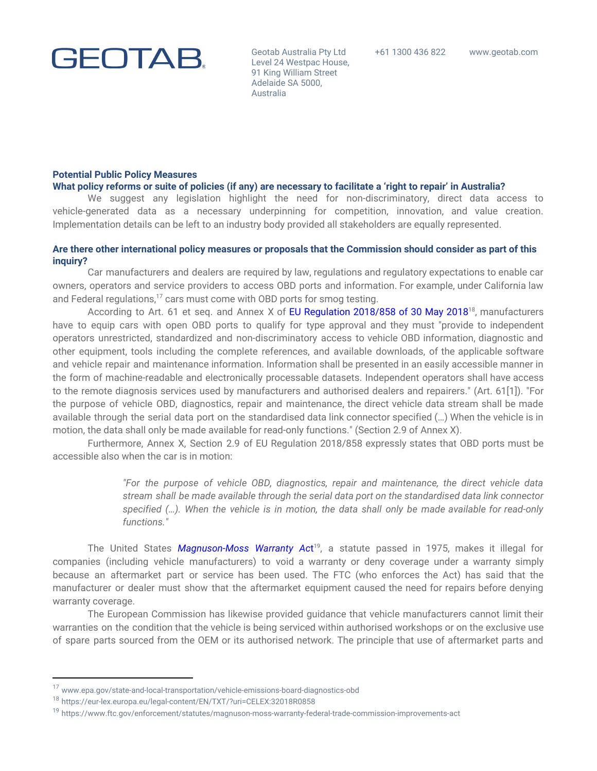Geotab Australia Pty Ltd Level 24 Westpac House, 91 King William Street Adelaide SA 5000, Australia

### **Potential Public Policy Measures**

### What policy reforms or suite of policies (if any) are necessary to facilitate a 'right to repair' in Australia?

We suggest any legislation highlight the need for non-discriminatory, direct data access to vehicle-generated data as a necessary underpinning for competition, innovation, and value creation. Implementation details can be left to an industry body provided all stakeholders are equally represented.

## Are there other international policy measures or proposals that the Commission should consider as part of this **inquiry?**

Car manufacturers and dealers are required by law, regulations and regulatory expectations to enable car owners, operators and service providers to access OBD ports and information. For example, under California law and Federal regulations, $17$  cars must come with OBD ports for smog testing.

According to Art. 61 et seq. and Annex X of EU [Regulation](https://eur-lex.europa.eu/legal-content/EN/TXT/?uri=CELEX%3A32018R0858#:~:text=Regulation%20(EU)%202018%2F858,No%20595%2F2009%20and%20repealing) 2018/858 of 30 May 2018<sup>18</sup>, manufacturers have to equip cars with open OBD ports to qualify for type approval and they must "provide to independent operators unrestricted, standardized and non-discriminatory access to vehicle OBD information, diagnostic and other equipment, tools including the complete references, and available downloads, of the applicable software and vehicle repair and maintenance information. Information shall be presented in an easily accessible manner in the form of machine-readable and electronically processable datasets. Independent operators shall have access to the remote diagnosis services used by manufacturers and authorised dealers and repairers." (Art. 61[1]). "For the purpose of vehicle OBD, diagnostics, repair and maintenance, the direct vehicle data stream shall be made available through the serial data port on the standardised data link connector specified (…) When the vehicle is in motion, the data shall only be made available for read-only functions." (Section 2.9 of Annex X).

Furthermore, Annex X, Section 2.9 of EU Regulation 2018/858 expressly states that OBD ports must be accessible also when the car is in motion:

> *"For the purpose of vehicle OBD, diagnostics, repair and maintenance, the direct vehicle data stream shall be made available through the serial data port on the standardised data link connector specified (…). When the vehicle is in motion, the data shall only be made available for read-only functions."*

The United States [Magnuson-Moss](https://www.ftc.gov/enforcement/statutes/magnuson-moss-warranty-federal-trade-commission-improvements-act) Warran[t](https://www.ftc.gov/enforcement/statutes/magnuson-moss-warranty-federal-trade-commission-improvements-act)y Act<sup>19</sup>, a statute passed in 1975, makes it illegal for companies (including vehicle manufacturers) to void a warranty or deny coverage under a warranty simply because an aftermarket part or service has been used. The FTC (who enforces the Act) has said that the manufacturer or dealer must show that the aftermarket equipment caused the need for repairs before denying warranty coverage.

The European Commission has likewise provided guidance that vehicle manufacturers cannot limit their warranties on the condition that the vehicle is being serviced within authorised workshops or on the exclusive use of spare parts sourced from the OEM or its authorised network. The principle that use of aftermarket parts and

<sup>17</sup> [www.epa.gov/state-and-local-transportation/vehicle-emissions-board-diagnostics-obd](http://www.epa.gov/state-and-local-transportation/vehicle-emissions-board-diagnostics-obd)

<sup>18</sup> https://eur-lex.europa.eu/legal-content/EN/TXT/?uri=CELEX:32018R0858

<sup>&</sup>lt;sup>19</sup> https://www.ftc.gov/enforcement/statutes/magnuson-moss-warranty-federal-trade-commission-improvements-act